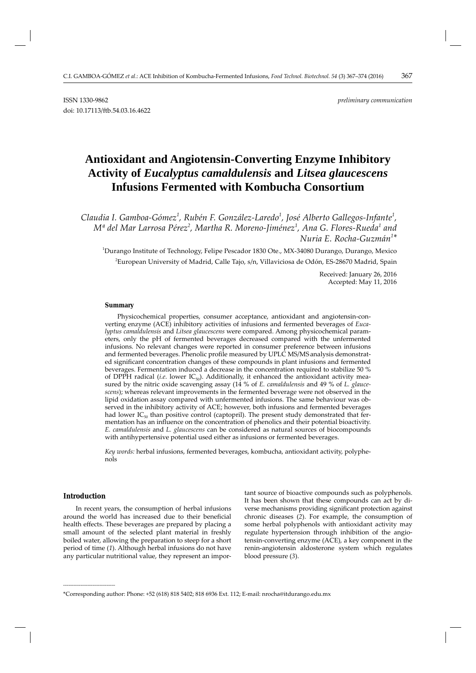# **Antioxidant and Angiotensin-Converting Enzyme Inhibitory Activity of** *Eucalyptus camaldulensis* **and** *Litsea glaucescens* **Infusions Fermented with Kombucha Consortium**

*Claudia I. Gamboa-Gómez<sup>1</sup> , Rubén F. González-Laredo<sup>1</sup> , José Alberto Gallegos-Infante<sup>1</sup> ,*   $M^{\underline{a}}$  del Mar Larrosa Pérez<sup>2</sup>, Martha R. Moreno-Jiménez<sup>1</sup>, Ana G. Flores-Rueda<sup>1</sup> and *Nuria E. Rocha-Guzmán<sup>1</sup> \**

1 Durango Institute of Technology, Felipe Pescador 1830 Ote., MX-34080 Durango, Durango, Mexico 2 European University of Madrid, Calle Tajo, s/n, Villaviciosa de Odón, ES-28670 Madrid, Spain

> Received: January 26, 2016 Accepted: May 11, 2016

#### **Summary**

Physicochemical properties, consumer acceptance, antioxidant and angiotensin-converting enzyme (ACE) inhibitory activities of infusions and fermented beverages of *Eucalyptus camaldulensis* and *Litsea glaucescens* were compared. Among physicochemical parameters, only the pH of fermented beverages decreased compared with the unfermented infusions. No relevant changes were reported in consumer preference between infusions and fermented beverages. Phenolic profile measured by UPLC MS/MS analysis demonstrated significant concentration changes of these compounds in plant infusions and fermented beverages. Fermentation induced a decrease in the concentration required to stabilize 50 % of DPPH radical (*i.e.* lower IC<sub>50</sub>). Additionally, it enhanced the antioxidant activity measured by the nitric oxide scavenging assay (14 % of *E. camaldulensis* and 49 % of *L. glaucescens*); whereas relevant improvements in the fermented beverage were not observed in the lipid oxidation assay compared with unfermented infusions. The same behaviour was observed in the inhibitory activity of ACE; however, both infusions and fermented beverages had lower  $IC_{50}$  than positive control (captopril). The present study demonstrated that fermentation has an influence on the concentration of phenolics and their potential bioactivity. *E. camaldulensis* and *L. glaucescens* can be considered as natural sources of biocompounds with antihypertensive potential used either as infusions or fermented beverages.

*Key words:* herbal infusions, fermented beverages, kombucha, antioxidant activity, polyphenols

# **Introduction**

**\_\_\_\_\_\_\_\_\_\_\_\_\_\_\_\_\_\_\_\_\_\_\_\_\_\_\_\_\_\_**

In recent years, the consumption of herbal infusions around the world has increased due to their beneficial health effects. These beverages are prepared by placing a small amount of the selected plant material in freshly boiled water, allowing the preparation to steep for a short period of time (*1*). Although herbal infusions do not have any particular nutritional value, they represent an impor-

tant source of bioactive compounds such as polyphenols. It has been shown that these compounds can act by diverse mechanisms providing significant protection against chronic diseases (*2*). For example, the consumption of some herbal polyphenols with antioxidant activity may regulate hypertension through inhibition of the angiotensin-converting enzyme (ACE), a key component in the renin-angiotensin aldosterone system which regulates blood pressure (*3*).

<sup>\*</sup>Corresponding author: Phone: +52 (618) 818 5402; 818 6936 Ext. 112; E-mail: nrocha@itdurango.edu.mx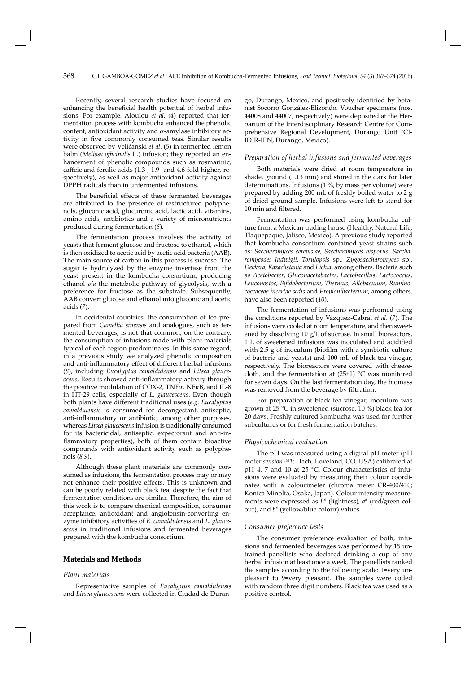Recently, several research studies have focused on enhancing the beneficial health potential of herbal infusions. For example, Aloulou *et al*. (*4*) reported that fermentation process with kombucha enhanced the phenolic content, antioxidant activity and  $\alpha$ -amylase inhibitory activity in five commonly consumed teas. Similar results were observed by Velićanski *et al*. (*5*) in fermented lemon balm (Melissa officinalis L.) infusion; they reported an enhancement of phenolic compounds such as rosmarinic, caffeic and ferulic acids (1.3-, 1.9- and 4.6-fold higher, respectively), as well as major antioxidant activity against DPPH radicals than in unfermented infusions.

The beneficial effects of these fermented beverages are attributed to the presence of restructured polyphenols, gluconic acid, glucuronic acid, lactic acid, vitamins, amino acids, antibiotics and a variety of micronutrients produced during fermentation (*6*).

The fermentation process involves the activity of yeasts that ferment glucose and fructose to ethanol, which is then oxidized to acetic acid by acetic acid bacteria (AAB). The main source of carbon in this process is sucrose. The sugar is hydrolyzed by the enzyme invertase from the yeast present in the kombucha consortium, producing ethanol *via* the metabolic pathway of glycolysis, with a preference for fructose as the substrate. Subsequently, AAB convert glucose and ethanol into gluconic and acetic acids (*7*).

In occidental countries, the consumption of tea prepared from *Camellia sinensis* and analogues, such as fermented beverages, is not that common; on the contrary, the consumption of infusions made with plant materials typical of each region predominates. In this same regard, in a previous study we analyzed phenolic composition and anti-inflammatory effect of different herbal infusions (*8*), including *Eucalyptus camaldulensis* and *Litsea glauce*scens. Results showed anti-inflammatory activity through the positive modulation of COX-2, TNF $\alpha$ , NFKB, and IL-8 in HT-29 cells, especially of *L. glaucescens*. Even though both plants have diff erent traditional uses (*e.g. Eucalyptus camaldulensis* is consumed for decongestant, antiseptic, anti-inflammatory or antibiotic, among other purposes, whereas *Litsea glaucescens* infusion is traditionally consumed for its bactericidal, antiseptic, expectorant and anti-inflammatory properties), both of them contain bioactive compounds with antioxidant activity such as polyphenols (*8,9*).

Although these plant materials are commonly consumed as infusions, the fermentation process may or may not enhance their positive effects. This is unknown and can be poorly related with black tea, despite the fact that fermentation conditions are similar. Therefore, the aim of this work is to compare chemical composition, consumer acceptance, antioxidant and angiotensin-converting enzyme inhibitory activities of *E. camaldulensis* and *L. glaucescens* in traditional infusions and fermented beverages prepared with the kombucha consortium.

## **Materials and Methods**

### *Plant materials*

Representative samples of *Eucalyptus camaldulensis* and *Litsea glaucescens* were collected in Ciudad de Durango, Durango, Mexico, and positively identified by botanist Socorro González-Elizondo. Voucher specimens (nos. 44008 and 44007, respectively) were deposited at the Herbarium of the Interdisciplinary Research Centre for Comprehensive Regional Development, Durango Unit (CI-IDIR-IPN, Durango, Mexico).

#### *Preparation of herbal infusions and fermented beverages*

Both materials were dried at room temperature in shade, ground (1.13 mm) and stored in the dark for later determinations. Infusions (1 %, by mass per volume) were prepared by adding 200 mL of freshly boiled water to 2 g of dried ground sample. Infusions were left to stand for 10 min and filtered.

Fermentation was performed using kombucha culture from a Mexican trading house (Healthy, Natural Life, Tlaquepaque, Jalisco, Mexico). A previous study reported that kombucha consortium contained yeast strains such as: Saccharomyces cerevisiae, Saccharomyces bisporus, Saccha*romycodes ludwigii*, *Torulopsis* sp., *Zygosaccharomyces* sp., *Dek kera*, *Kazachstania* and *Pichia*, among others. Bacteria such as *Acetobacter*, *Gluconacetobacter*, *Lactobacillus*, *Lactococcus*, *Leuconostoc*, *Bifi dobacterium*, *Thermus*, *Allobaculum*, *Ruminococcaceae incertae sedis* and *Propionibacterium*, among others, have also been reported (*10*).

The fermentation of infusions was performed using the conditions reported by Vázquez-Cabral *et al*. (*7*). The infusions were cooled at room temperature, and then sweetened by dissolving 10 g/L of sucrose. In small bioreactors, 1 L of sweetened infusions was inoculated and acidified with  $2.5$  g of inoculum (biofilm with a symbiotic culture of bacteria and yeasts) and 100 mL of black tea vinegar, respectively. The bioreactors were covered with cheesecloth, and the fermentation at (25±1) °C was monitored for seven days. On the last fermentation day, the biomass was removed from the beverage by filtration.

For preparation of black tea vinegar, inoculum was grown at 25 °C in sweetened (sucrose, 10 %) black tea for 20 days. Freshly cultured kombucha was used for further subcultures or for fresh fermentation batches.

#### *Physicochemical evaluation*

The pH was measured using a digital pH meter (pH meter *sension™1*; Hach, Loveland, CO, USA) calibrated at pH=4, 7 and 10 at 25 °C. Colour characteristics of infusions were evaluated by measuring their colour coordinates with a colourimeter (chroma meter CR-400/410; Konica Minolta, Osaka, Japan). Colour intensity measurements were expressed as *L*\* (lightness), *a*\* (red/green colour), and *b*\* (yellow/blue colour) values.

#### *Consumer preference tests*

The consumer preference evaluation of both, infusions and fermented beverages was performed by 15 untrained panellists who declared drinking a cup of any herbal infusion at least once a week. The panellists ranked the samples according to the following scale: 1=very unpleasant to 9=very pleasant. The samples were coded with random three digit numbers. Black tea was used as a positive control.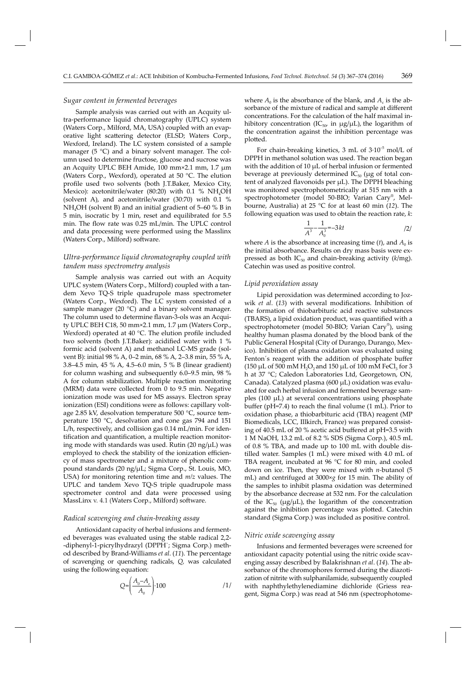## *Sugar content in fermented beverages*

Sample analysis was carried out with an Acquity ultra-performance liquid chromatography (UPLC) system (Waters Corp., Milford, MA, USA) coupled with an evaporative light scattering detector (ELSD; Waters Corp., Wexford, Ireland). The LC system consisted of a sample manager (5 °C) and a binary solvent manager. The column used to determine fructose, glucose and sucrose was an Acquity UPLC BEH Amide, 100 mm×2.1 mm, 1.7 μm (Waters Corp., Wexford), operated at 50 °C. The elution profile used two solvents (both J.T.Baker, Mexico City, Mexico): acetonitrile/water (80:20) with 0.1 % NH<sub>4</sub>OH (solvent A), and acetonitrile/water (30:70) with 0.1 %  $NH<sub>4</sub>OH$  (solvent B) and an initial gradient of 5–60 % B in 5 min, isocratic by 1 min, reset and equilibrated for 5.5 min. The flow rate was 0.25 mL/min. The UPLC control and data processing were performed using the Masslinx (Waters Corp., Milford) software.

# *Ultra-performance liquid chromatography coupled with tandem mass spectrometry analysis*

Sample analysis was carried out with an Acquity UPLC system (Waters Corp., Milford) coupled with a tandem Xevo TQ-S triple quadrupole mass spectrometer (Waters Corp., Wexford). The LC system consisted of a sample manager (20 $^{\circ}$ C) and a binary solvent manager. The column used to determine flavan-3-ols was an Acquity UPLC BEH C18, 50 mm×2.1 mm, 1.7 μm (Waters Corp., Wexford) operated at  $40 °C$ . The elution profile included two solvents (both J.T.Baker): acidified water with 1 % formic acid (solvent A) and methanol LC-MS grade (solvent B): initial 98 % A, 0–2 min, 68 % A, 2–3.8 min, 55 % A, 3.8–4.5 min, 45 % A, 4.5–6.0 min, 5 % B (linear gradient) for column washing and subsequently 6.0–9.5 min, 98 % A for column stabilization. Multiple reaction monitoring (MRM) data were collected from 0 to 9.5 min. Negative ionization mode was used for MS assays. Electron spray ionization (ESI) conditions were as follows: capillary voltage 2.85 kV, desolvation temperature 500 °C, source temperature 150 °C, desolvation and cone gas 794 and 151 L/h, respectively, and collision gas 0.14 mL/min. For identification and quantification, a multiple reaction monitoring mode with standards was used. Rutin  $(20 \text{ ng/µL})$  was employed to check the stability of the ionization efficiency of mass spectrometer and a mixture of phenolic compound standards (20 ng/μL; Sigma Corp., St. Louis, MO, USA) for monitoring retention time and *m/z* values. The UPLC and tandem Xevo TQ-S triple quadrupole mass spectrometer control and data were processed using MassLinx v. 4.1 (Waters Corp., Milford) software.

#### *Radical scavenging and chain-breaking assay*

Antioxidant capacity of herbal infusions and fermented beverages was evaluated using the stable radical 2,2-- diphenyl-1-picrylhydrazyl (DPPH˙; Sigma Corp.) method described by Brand-Williams *et al*. (*11*). The percentage of scavenging or quenching radicals, *Q,* was calculated using the following equation:

$$
Q = \left(\frac{A_0 - A_c}{A_0}\right) \cdot 100 \tag{1}
$$

where  $A_0$  is the absorbance of the blank, and  $A_c$  is the absorbance of the mixture of radical and sample at different concentrations. For the calculation of the half maximal inhibitory concentration (IC $_{50}$ , in  $\mu$ g/ $\mu$ L), the logarithm of the concentration against the inhibition percentage was plotted.

For chain-breaking kinetics, 3 mL of  $3.10^{-5}$  mol/L of DPPH in methanol solution was used. The reaction began with the addition of 10 μL of herbal infusion or fermented beverage at previously determined  $IC_{50}$  (µg of total content of analyzed flavonoids per μL). The DPPH bleaching was monitored spectrophotometrically at 515 nm with a spectrophotometer (model 50-BIO; Varian Cary® , Melbourne, Australia) at 25 °C for at least 60 min (*12*). The following equation was used to obtain the reaction rate, *k*:

$$
\frac{1}{A^3} - \frac{1}{A_0^3} = -3kt
$$

where *A* is the absorbance at increasing time (*t*), and  $A_0$  is the initial absorbance. Results on dry mass basis were expressed as both  $IC_{50}$  and chain-breaking activity ( $k/mg$ ). Catechin was used as positive control.

#### *Lipid peroxidation assay*

Lipid peroxidation was determined according to Jozwik et al. (13) with several modifications. Inhibition of the formation of thiobarbituric acid reactive substances (TBARS), a lipid oxidation product, was quantified with a spectrophotometer (model 50-BIO; Varian Cary® ), using healthy human plasma donated by the blood bank of the Public General Hospital (City of Durango, Durango, Mexico). Inhibition of plasma oxidation was evaluated using Fenton's reagent with the addition of phosphate buffer (150 μL of 500 mM H<sub>2</sub>O<sub>2</sub> and 150 μL of 100 mM FeCl<sub>3</sub> for 3 h at 37 °C; Caledon Laboratories Ltd, Georgetown, ON, Canada). Catalyzed plasma (600 μL) oxidation was evaluated for each herbal infusion and fermented beverage samples (100 μL) at several concentrations using phosphate buffer (pH=7.4) to reach the final volume (1 mL). Prior to oxidation phase, a thiobarbituric acid (TBA) reagent (MP Biomedicals, LCC, Illkirch, France) was prepared consisting of 40.5 mL of 20 % acetic acid buffered at pH=3.5 with 1 M NaOH, 13.2 mL of 8.2 % SDS (Sigma Corp.), 40.5 mL of 0.8 % TBA, and made up to 100 mL with double distilled water. Samples (1 mL) were mixed with 4.0 mL of TBA reagent, incubated at 96 °C for 80 min, and cooled down on ice. Then, they were mixed with *n-*butanol (5 mL) and centrifuged at 3000×*g* for 15 min. The ability of the samples to inhibit plasma oxidation was determined by the absorbance decrease at 532 nm. For the calculation of the  $IC_{50}$  ( $\mu$ g/ $\mu$ L), the logarithm of the concentration against the inhibition percentage was plotted. Catechin standard (Sigma Corp.) was included as positive control.

#### *Nitric oxide scavenging assay*

Infusions and fermented beverages were screened for antioxidant capacity potential using the nitric oxide scavenging assay described by Balakrishnan *et al*. (*14*). The absorbance of the chromophores formed during the diazotization of nitrite with sulphanilamide, subsequently coupled with naphthylethylenediamine dichloride (Griess reagent, Sigma Corp.) was read at 546 nm (spectrophotome-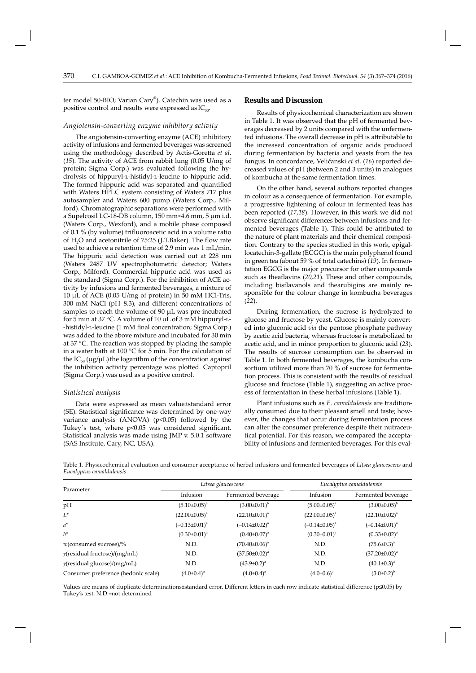ter model 50-BIO; Varian Cary® ). Catechin was used as a positive control and results were expressed as  $IC_{50}$ .

# *Angiotensin-converting enzyme inhibitory activity*

The angiotensin-converting enzyme (ACE) inhibitory activity of infusions and fermented beverages was screened using the methodology described by Actis-Goretta et al. (*15*). The activity of ACE from rabbit lung (0.05 U/mg of protein; Sigma Corp.) was evaluated following the hydrolysis of hippuryl-l-histidyl-l-leucine to hippuric acid. The formed hippuric acid was separated and quantified with Waters HPLC system consisting of Waters 717 plus autosampler and Waters 600 pump (Waters Corp., Milford). Chromatographic separations were performed with a Supelcosil LC-18-DB column, 150 mm×4.6 mm, 5 μm i.d. (Waters Corp., Wexford), and a mobile phase composed of 0.1 % (by volume) trifluoroacetic acid in a volume ratio of  $H<sub>2</sub>O$  and acetonitrile of 75:25 (J.T.Baker). The flow rate used to achieve a retention time of 2.9 min was 1 mL/min. The hippuric acid detection was carried out at 228 nm (Waters 2487 UV spectrophotometric detector; Waters Corp., Milford). Commercial hippuric acid was used as the standard (Sigma Corp.). For the inhibition of ACE activity by infusions and fermented beverages, a mixture of 10 μL of ACE (0.05 U/mg of protein) in 50 mM HCl-Tris,  $300$  mM NaCl (pH=8.3), and different concentrations of samples to reach the volume of 90 μL was pre-incubated for 5 min at 37 °C. A volume of 10 μL of 3 mM hippuryl-l- -histidyl-L-leucine (1 mM final concentration; Sigma Corp.) was added to the above mixture and incubated for 30 min at 37 °C. The reaction was stopped by placing the sample in a water bath at 100 °C for 5 min. For the calculation of the  $IC_{50}$  (μg/μL) the logarithm of the concentration against the inhibition activity percentage was plotted. Captopril (Sigma Corp.) was used as a positive control.

## *Statistical analysis*

Data were expressed as mean value±standard error (SE). Statistical significance was determined by one-way variance analysis (ANOVA)  $(p<0.05)$  followed by the Tukey's test, where  $p<0.05$  was considered significant. Statistical analysis was made using JMP v. 5.0.1 software (SAS Institute, Cary, NC, USA).

## **Results and Discussion**

Results of physicochemical characterization are shown in Table 1. It was observed that the pH of fermented beverages decreased by 2 units compared with the unfermented infusions. The overall decrease in pH is attributable to the increased concentration of organic acids produced during fermentation by bacteria and yeasts from the tea fungus. In concordance, Velićanski *et al*. (*16*) reported decreased values of pH (between 2 and 3 units) in analogues of kombucha at the same fermentation times.

On the other hand, several authors reported changes in colour as a consequence of fermentation. For example, a progressive lightening of colour in fermented teas has been reported (*17*,*18*). However, in this work we did not observe significant differences between infusions and fermented beverages (Table 1). This could be attributed to the nature of plant materials and their chemical composition. Contrary to the species studied in this work, epigallocatechin-3-gallate (ECGC) is the main polyphenol found in green tea (about 59 % of total catechins) (*19*). In fermentation EGCG is the major precursor for other compounds such as theaflavins (20,21). These and other compounds, including bisflavanols and thearubigins are mainly responsible for the colour change in kombucha beverages (*22*).

During fermentation, the sucrose is hydrolyzed to glucose and fructose by yeast. Glucose is mainly converted into gluconic acid *via* the pentose phosphate pathway by acetic acid bacteria, whereas fructose is metabolized to acetic acid, and in minor proportion to gluconic acid (*23*). The results of sucrose consumption can be observed in Table 1. In both fermented beverages, the kombucha consortium utilized more than 70 % of sucrose for fermentation process. This is consistent with the results of residual glucose and fructose (Table 1), suggesting an active process of fermentation in these herbal infusions (Table 1).

Plant infusions such as *E. camaldulensis* are traditionally consumed due to their pleasant smell and taste; however, the changes that occur during fermentation process can alter the consumer preference despite their nutraceutical potential. For this reason, we compared the acceptability of infusions and fermented beverages. For this eval-

Table 1. Physicochemical evaluation and consumer acceptance of herbal infusions and fermented beverages of *Litsea glaucescens* and *Eucalyptus camaldulensis* 

|                                      |                                | Litsea glaucescens   | Eucalyptus camaldulensis |                      |  |
|--------------------------------------|--------------------------------|----------------------|--------------------------|----------------------|--|
| Parameter                            | Infusion<br>Fermented beverage |                      | Infusion                 | Fermented beverage   |  |
| pH                                   | $(5.10\pm0.05)^{a}$            | $(3.00\pm0.01)^{b}$  | $(5.00\pm0.05)^{a}$      | $(3.00\pm0.05)^{b}$  |  |
| $L^*$                                | $(22.00 \pm 0.05)^{a}$         | $(22.10 \pm 0.01)^a$ | $(22.00 \pm 0.05)^{a}$   | $(22.10\pm0.02)^a$   |  |
| $a^*$                                | $(-0.13 \pm 0.01)^a$           | $(-0.14 \pm 0.02)^a$ | $(-0.14 \pm 0.05)^{a}$   | $(-0.14 \pm 0.01)^a$ |  |
| $h^*$                                | $(0.30 \pm 0.01)^a$            | $(0.40 \pm 0.07)^a$  | $(0.30 \pm 0.01)^a$      | $(0.33 \pm 0.02)^a$  |  |
| $w$ (consumed sucrose)/%             | N.D.                           | $(70.40 \pm 0.06)^a$ | N.D.                     | $(75.6 \pm 0.3)^a$   |  |
| $\gamma$ (residual fructose)/(mg/mL) | N.D.                           | $(37.50 \pm 0.02)^a$ | N.D.                     | $(37.20 \pm 0.02)^a$ |  |
| $\gamma$ (residual glucose)/(mg/mL)  | N.D.                           | $(43.9 \pm 0.2)^a$   | N.D.                     | $(40.1 \pm 0.3)^a$   |  |
| Consumer preference (hedonic scale)  | $(4.0\pm0.4)^a$                | $(4.0 \pm 0.4)^a$    | $(4.0\pm0.6)^a$          | $(3.0\pm0.2)^{b}$    |  |

Values are means of duplicate determinations±standard error. Different letters in each row indicate statistical difference (p≤0.05) by Tukey's test. N.D.=not determined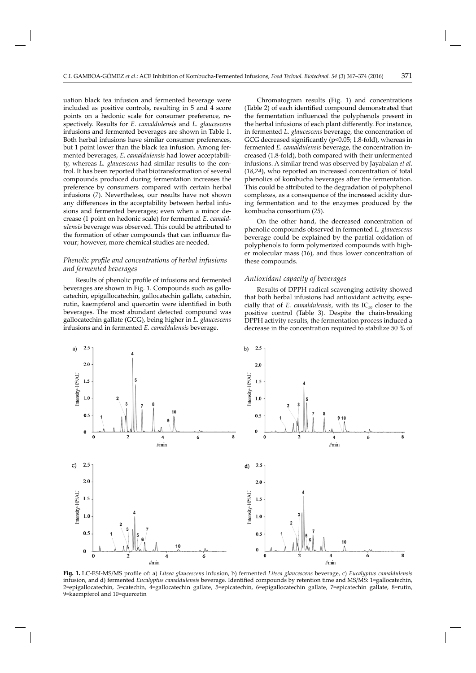uation black tea infusion and fermented beverage were included as positive controls, resulting in 5 and 4 score points on a hedonic scale for consumer preference, respectively. Results for *E. camaldulensis* and *L. glaucescens* infusions and fermented beverages are shown in Table 1. Both herbal infusions have similar consumer preferences, but 1 point lower than the black tea infusion. Among fermented beverages, *E. camaldulensis* had lower acceptability, whereas *L. glaucescens* had similar results to the control. It has been reported that biotransformation of several compounds produced during fermentation increases the preference by consumers compared with certain herbal infusions (*7*). Nevertheless, our results have not shown any differences in the acceptability between herbal infusions and fermented beverages; even when a minor decrease (1 point on hedonic scale) for fermented *E. camaldulensis* beverage was observed. This could be attributed to the formation of other compounds that can influence flavour; however, more chemical studies are needed.

# *Phenolic profile and concentrations of herbal infusions and fermented beverages*

Results of phenolic profile of infusions and fermented beverages are shown in Fig. 1. Compounds such as gallocatechin, epigallocatechin, gallocatechin gallate, catechin, rutin, kaempferol and quercetin were identified in both beverages. The most abundant detected compound was gallocatechin gallate (GCG), being higher in *L. glau cescens* infusions and in fermented *E. camaldulensis* beverage.

Chromatogram results (Fig. 1) and concentrations (Table 2) of each identified compound demonstrated that the fermentation influenced the polyphenols present in the herbal infusions of each plant differently. For instance, in fermented *L. glaucescens* beverage, the concentration of GCG decreased significantly ( $p<0.05$ ; 1.8-fold), whereas in fermented *E. camaldulensis* beverage, the concentration increased (1.8-fold), both compared with their unfermented infusions. A similar trend was observed by Jayabalan *et al*. (*18*,*24*), who reported an increased concentration of total phenolics of kombucha beverages after the fermentation. This could be attributed to the degradation of polyphenol complexes, as a consequence of the increased acidity during fermentation and to the enzymes produced by the kombucha consortium (*25*).

On the other hand, the decreased concentration of phenolic compounds observed in fermented *L. glaucescens* beverage could be explained by the partial oxidation of polyphenols to form polymerized compounds with higher molecular mass (*16*), and thus lower concentration of these compounds.

# *Antioxidant capacity of beverages*

Results of DPPH radical scavenging activity showed that both herbal infusions had antioxidant activity, especially that of  $E$ . *camaldulensis*, with its  $IC_{50}$  closer to the positive control (Table 3). Despite the chain-breaking DPPH activity results, the fermentation process induced a decrease in the concentration required to stabilize 50 % of



Fig. 1. LC-ESI-MS/MS profile of: a) Litsea glaucescens infusion, b) fermented Litsea glaucescens beverage, c) Eucalyptus camaldulensis infusion, and d) fermented *Eucalyptus camaldulensis* beverage. Identified compounds by retention time and MS/MS: 1=gallocatechin, 2=epigallocatechin, 3=catechin, 4=gallocatechin gallate, 5=epicatechin, 6=epigallocatechin gallate, 7=epicatechin gallate, 8=rutin, 9=kaempferol and 10=quercetin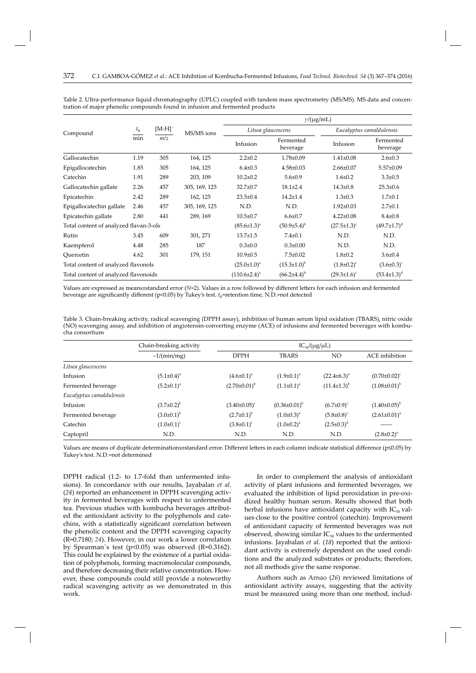|                                        | $t_{\rm R}$<br>min | $[M-H]$ <sup>-</sup><br>m/z | MS/MS ions           | $\gamma/(\mu g/mL)$  |                       |                          |                       |
|----------------------------------------|--------------------|-----------------------------|----------------------|----------------------|-----------------------|--------------------------|-----------------------|
| Compound                               |                    |                             |                      | Litsea glaucescens   |                       | Eucalyptus camaldulensis |                       |
|                                        |                    |                             |                      | Infusion             | Fermented<br>beverage | Infusion                 | Fermented<br>beverage |
| Gallocatechin                          | 1.19               | 305                         | 164, 125             | $2.2 \pm 0.2$        | $1.78 \pm 0.09$       | $1.41 \pm 0.08$          | $2.6 \pm 0.3$         |
| Epigallocatechin                       | 1.85               | 305                         | 164, 125             | $6.4 \pm 0.3$        | $4.58 \pm 0.03$       | $2.66 \pm 0.07$          | $5.57 \pm 0.09$       |
| Catechin                               | 1.91               | 289                         | 203, 109             | $10.2 \pm 0.2$       | $5.6 \pm 0.9$         | $1.6 \pm 0.2$            | $3.3 \pm 0.5$         |
| Gallocatechin gallate                  | 2.26               | 457                         | 305, 169, 125        | $32.7 \pm 0.7$       | $18.1 \pm 2.4$        | $14.3 \pm 0.8$           | $25.3 \pm 0.6$        |
| Epicatechin                            | 2.42               | 289                         | 162, 125             | $23.5 \pm 0.4$       | $14.2 \pm 1.4$        | $1.3 \pm 0.3$            | $1.7 + 0.1$           |
| Epigallocatechin gallate               | 2.46               | 457                         | 305, 169, 125        | N.D.                 | N.D.                  | $1.92 \pm 0.03$          | $2.7 \pm 0.1$         |
| Epicatechin gallate                    | 2.80               | 441                         | 289, 169             | $10.5 \pm 0.7$       | $6.6 \pm 0.7$         | $4.22 \pm 0.08$          | $8.4 \pm 0.8$         |
| Total content of analyzed flavan-3-ols |                    | $(85.6 \pm 1.3)^{a}$        | $(50.9{\pm}5.4)^{b}$ | $(27.5 \pm 1.3)^c$   | $(49.7 \pm 1.7)^d$    |                          |                       |
| Rutin                                  | 3.45               | 609                         | 301, 271             | $13.7 \pm 1.5$       | $7.4 \pm 0.1$         | N.D.                     | N.D.                  |
| Kaempferol                             | 4.48               | 285                         | 187                  | $0.3 \pm 0.0$        | $0.3 \pm 0.00$        | N.D.                     | N.D.                  |
| Ouercetin                              | 4.62               | 301                         | 179, 151             | $10.9 \pm 0.5$       | $7.5 \pm 0.02$        | $1.8 \pm 0.2$            | $3.6 \pm 0.4$         |
| Total content of analyzed flavonols    |                    |                             | $(25.0 \pm 1.0)^a$   | $(15.3 \pm 1.0)^{b}$ | $(1.8 \pm 0.2)^c$     | $(3.6 \pm 0.3)^c$        |                       |
| Total content of analyzed flavonoids   |                    |                             | $(110.6\pm2.4)^a$    | $(66.2{\pm}4.4)^{b}$ | $(29.3 \pm 1.6)^c$    | $(53.4 \pm 1.3)^d$       |                       |

Table 2. Ultra-performance liquid chromatography (UPLC) coupled with tandem mass spectrometry (MS/MS). MS data and concentration of major phenolic compounds found in infusion and fermented products

Values are expressed as means±standard error (*N*=2). Values in a row followed by different letters for each infusion and fermented beverage are significantly different (p<0.05) by Tukey's test.  $t_R$ =retention time, N.D.=not detected

Table 3. Chain-breaking activity, radical scavenging (DPPH assay), inhibition of human serum lipid oxidation (TBARS), nitric oxide (NO) scavenging assay, and inhibition of angiotensin-converting enzyme (ACE) of infusions and fermented beverages with kombucha consortium

|                          | Chain-breaking activity | $IC_{50}/(\mu g/\mu L)$ |                       |                      |                       |  |
|--------------------------|-------------------------|-------------------------|-----------------------|----------------------|-----------------------|--|
|                          | $-1/(min/mg)$           | <b>DPPH</b>             | <b>TBARS</b>          | <b>NO</b>            | <b>ACE</b> inhibition |  |
| Litsea glaucescens       |                         |                         |                       |                      |                       |  |
| Infusion                 | $(5.1 \pm 0.4)^a$       | $(4.6 \pm 0.1)^a$       | $(1.9\pm0.1)^a$       | $(22.4\pm6.3)^a$     | $(0.70 \pm 0.02)^c$   |  |
| Fermented beverage       | $(5.2 \pm 0.1)^a$       | $(2.70\pm0.01)^{b}$     | $(1.1\pm0.1)^a$       | $(11.4 \pm 1.3)^{b}$ | $(1.08\pm0.01)^{b}$   |  |
| Eucalyptus camaldulensis |                         |                         |                       |                      |                       |  |
| Infusion                 | $(3.7\pm0.2)^{b}$       | $(3.40\pm0.05)^c$       | $(0.36 \pm 0.01)^{b}$ | $(6.7 \pm 0.9)^c$    | $(1.40\pm0.05)^{b}$   |  |
| Fermented beverage       | $(3.0\pm0.1)^{b}$       | $(2.7 \pm 0.1)^{b}$     | $(1.0\pm0.3)^{a}$     | $(5.8 \pm 0.8)^c$    | $(2.61 \pm 0.01)^a$   |  |
| Catechin                 | $(1.0\pm0.1)^c$         | $(3.8\pm0.1)^c$         | $(1.0\pm0.2)^{a}$     | $(2.5 \pm 0.3)^d$    |                       |  |
| Captopril                | N.D.                    | N.D.                    | N.D.                  | N.D.                 | $(2.8 \pm 0.2)^a$     |  |

Values are means of duplicate determinations±standard error. Different letters in each column indicate statistical difference (p≤0.05) by Tukey's test. N.D.=not determined

DPPH radical (1.2- to 1.7-fold than unfermented infusions). In concordance with our results, Jayabalan *et al*. (*24*) reported an enhancement in DPPH scavenging activity in fermented beverages with respect to unfermented tea. Previous studies with kombucha beverages attributed the antioxidant activity to the polyphenols and catechins, with a statistically significant correlation between the phenolic content and the DPPH scavenging capacity (R=0.7180; *24*). However, in our work a lower correlation by Spearman's test ( $p<0.05$ ) was observed ( $R=0.3162$ ). This could be explained by the existence of a partial oxidation of polyphenols, forming macromolecular compounds, and therefore decreasing their relative concentration. However, these compounds could still provide a noteworthy radical scavenging activity as we demonstrated in this work.

In order to complement the analysis of antioxidant activity of plant infusions and fermented beverages, we evaluated the inhibition of lipid peroxidation in pre-oxidized healthy human serum. Results showed that both herbal infusions have antioxidant capacity with  $IC_{50}$  values close to the positive control (catechin). Improvement of antioxidant capacity of fermented beverages was not observed, showing similar  $IC_{50}$  values to the unfermented infusions. Jayabalan *et al*. (*18*) reported that the antioxidant activity is extremely dependent on the used conditions and the analyzed substrates or products; therefore, not all methods give the same response.

Authors such as Arnao (*26*) reviewed limitations of antioxidant activity assays, suggesting that the activity must be measured using more than one method, includ